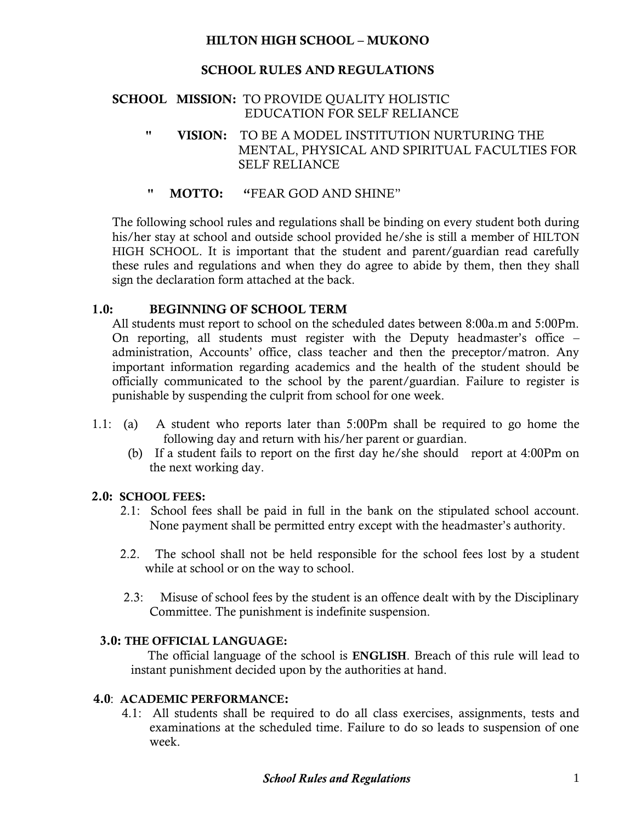## **HILTON HIGH SCHOOL – MUKONO**

# **SCHOOL RULES AND REGULATIONS**

#### **SCHOOL MISSION:** TO PROVIDE QUALITY HOLISTIC EDUCATION FOR SELF RELIANCE

- **" VISION:** TO BE A MODEL INSTITUTION NURTURING THE MENTAL, PHYSICAL AND SPIRITUAL FACULTIES FOR SELF RELIANCE
- **" MOTTO: "**FEAR GOD AND SHINE"

The following school rules and regulations shall be binding on every student both during his/her stay at school and outside school provided he/she is still a member of HILTON HIGH SCHOOL. It is important that the student and parent/guardian read carefully these rules and regulations and when they do agree to abide by them, then they shall sign the declaration form attached at the back.

## **1.0: BEGINNING OF SCHOOL TERM**

All students must report to school on the scheduled dates between 8:00a.m and 5:00Pm. On reporting, all students must register with the Deputy headmaster's office – administration, Accounts' office, class teacher and then the preceptor/matron. Any important information regarding academics and the health of the student should be officially communicated to the school by the parent/guardian. Failure to register is punishable by suspending the culprit from school for one week.

- 1.1: (a) A student who reports later than 5:00Pm shall be required to go home the following day and return with his/her parent or guardian.
	- (b) If a student fails to report on the first day he/she should report at 4:00Pm on the next working day.

## **2.0: SCHOOL FEES:**

- 2.1: School fees shall be paid in full in the bank on the stipulated school account. None payment shall be permitted entry except with the headmaster's authority.
- 2.2. The school shall not be held responsible for the school fees lost by a student while at school or on the way to school.
- 2.3: Misuse of school fees by the student is an offence dealt with by the Disciplinary Committee. The punishment is indefinite suspension.

## **3.0: THE OFFICIAL LANGUAGE:**

 The official language of the school is **ENGLISH**. Breach of this rule will lead to instant punishment decided upon by the authorities at hand.

## **4.0**: **ACADEMIC PERFORMANCE:**

 4.1: All students shall be required to do all class exercises, assignments, tests and examinations at the scheduled time. Failure to do so leads to suspension of one week.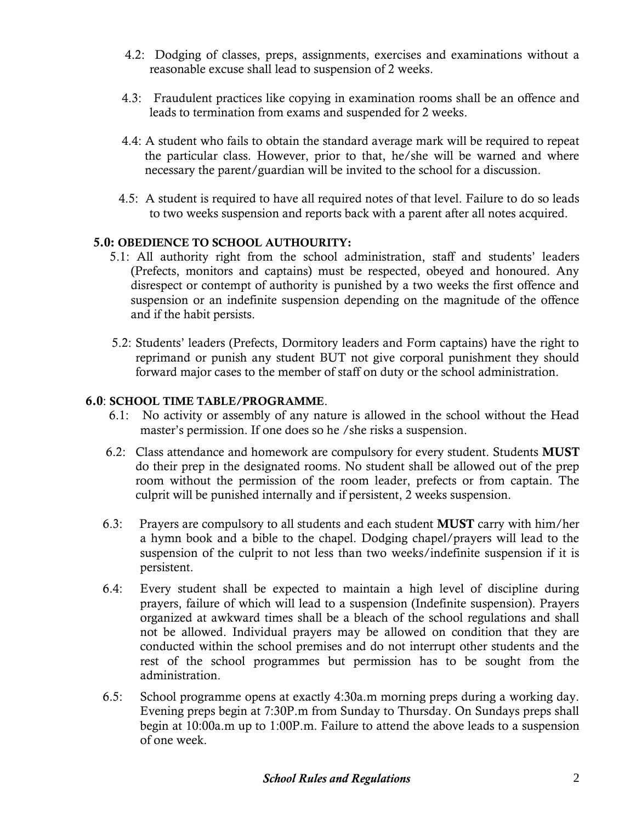- 4.2: Dodging of classes, preps, assignments, exercises and examinations without a reasonable excuse shall lead to suspension of 2 weeks.
- 4.3: Fraudulent practices like copying in examination rooms shall be an offence and leads to termination from exams and suspended for 2 weeks.
- 4.4: A student who fails to obtain the standard average mark will be required to repeat the particular class. However, prior to that, he/she will be warned and where necessary the parent/guardian will be invited to the school for a discussion.
- 4.5: A student is required to have all required notes of that level. Failure to do so leads to two weeks suspension and reports back with a parent after all notes acquired.

## **5.0: OBEDIENCE TO SCHOOL AUTHOURITY:**

- 5.1: All authority right from the school administration, staff and students' leaders (Prefects, monitors and captains) must be respected, obeyed and honoured. Any disrespect or contempt of authority is punished by a two weeks the first offence and suspension or an indefinite suspension depending on the magnitude of the offence and if the habit persists.
- 5.2: Students' leaders (Prefects, Dormitory leaders and Form captains) have the right to reprimand or punish any student BUT not give corporal punishment they should forward major cases to the member of staff on duty or the school administration.

## **6.0**: **SCHOOL TIME TABLE/PROGRAMME**.

- 6.1: No activity or assembly of any nature is allowed in the school without the Head master's permission. If one does so he /she risks a suspension.
- 6.2: Class attendance and homework are compulsory for every student. Students **MUST** do their prep in the designated rooms. No student shall be allowed out of the prep room without the permission of the room leader, prefects or from captain. The culprit will be punished internally and if persistent, 2 weeks suspension.
- 6.3: Prayers are compulsory to all students and each student **MUST** carry with him/her a hymn book and a bible to the chapel. Dodging chapel/prayers will lead to the suspension of the culprit to not less than two weeks/indefinite suspension if it is persistent.
- 6.4: Every student shall be expected to maintain a high level of discipline during prayers, failure of which will lead to a suspension (Indefinite suspension). Prayers organized at awkward times shall be a bleach of the school regulations and shall not be allowed. Individual prayers may be allowed on condition that they are conducted within the school premises and do not interrupt other students and the rest of the school programmes but permission has to be sought from the administration.
- 6.5: School programme opens at exactly 4:30a.m morning preps during a working day. Evening preps begin at 7:30P.m from Sunday to Thursday. On Sundays preps shall begin at 10:00a.m up to 1:00P.m. Failure to attend the above leads to a suspension of one week.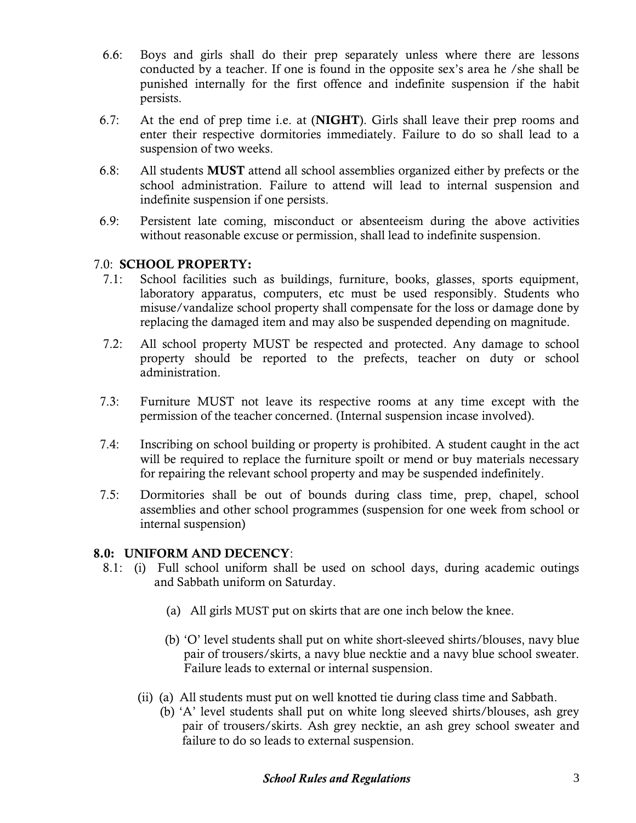- 6.6: Boys and girls shall do their prep separately unless where there are lessons conducted by a teacher. If one is found in the opposite sex's area he /she shall be punished internally for the first offence and indefinite suspension if the habit persists.
- 6.7: At the end of prep time i.e. at (**NIGHT**). Girls shall leave their prep rooms and enter their respective dormitories immediately. Failure to do so shall lead to a suspension of two weeks.
- 6.8: All students **MUST** attend all school assemblies organized either by prefects or the school administration. Failure to attend will lead to internal suspension and indefinite suspension if one persists.
- 6.9: Persistent late coming, misconduct or absenteeism during the above activities without reasonable excuse or permission, shall lead to indefinite suspension.

## 7.0: **SCHOOL PROPERTY:**

- 7.1: School facilities such as buildings, furniture, books, glasses, sports equipment, laboratory apparatus, computers, etc must be used responsibly. Students who misuse/vandalize school property shall compensate for the loss or damage done by replacing the damaged item and may also be suspended depending on magnitude.
- 7.2: All school property MUST be respected and protected. Any damage to school property should be reported to the prefects, teacher on duty or school administration.
- 7.3: Furniture MUST not leave its respective rooms at any time except with the permission of the teacher concerned. (Internal suspension incase involved).
- 7.4: Inscribing on school building or property is prohibited. A student caught in the act will be required to replace the furniture spoilt or mend or buy materials necessary for repairing the relevant school property and may be suspended indefinitely.
- 7.5: Dormitories shall be out of bounds during class time, prep, chapel, school assemblies and other school programmes (suspension for one week from school or internal suspension)

# **8.0: UNIFORM AND DECENCY**:

- 8.1: (i) Full school uniform shall be used on school days, during academic outings and Sabbath uniform on Saturday.
	- (a) All girls MUST put on skirts that are one inch below the knee.
	- (b) 'O' level students shall put on white short-sleeved shirts/blouses, navy blue pair of trousers/skirts, a navy blue necktie and a navy blue school sweater. Failure leads to external or internal suspension.
	- (ii) (a) All students must put on well knotted tie during class time and Sabbath.
		- (b) 'A' level students shall put on white long sleeved shirts/blouses, ash grey pair of trousers/skirts. Ash grey necktie, an ash grey school sweater and failure to do so leads to external suspension.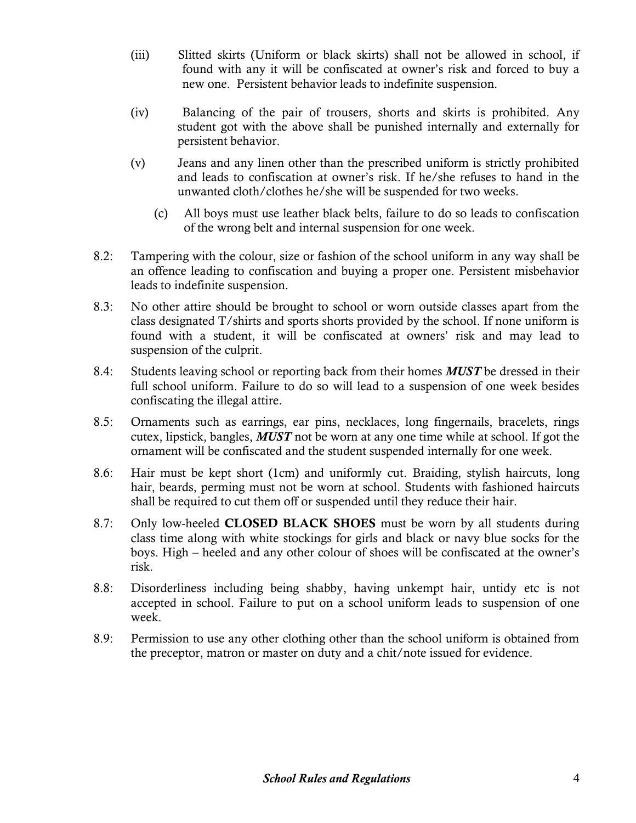- (iii) Slitted skirts (Uniform or black skirts) shall not be allowed in school, if found with any it will be confiscated at owner's risk and forced to buy a new one. Persistent behavior leads to indefinite suspension.
- (iv) Balancing of the pair of trousers, shorts and skirts is prohibited. Any student got with the above shall be punished internally and externally for persistent behavior.
- (v) Jeans and any linen other than the prescribed uniform is strictly prohibited and leads to confiscation at owner's risk. If he/she refuses to hand in the unwanted cloth/clothes he/she will be suspended for two weeks.
	- (c) All boys must use leather black belts, failure to do so leads to confiscation of the wrong belt and internal suspension for one week.
- 8.2: Tampering with the colour, size or fashion of the school uniform in any way shall be an offence leading to confiscation and buying a proper one. Persistent misbehavior leads to indefinite suspension.
- 8.3: No other attire should be brought to school or worn outside classes apart from the class designated T/shirts and sports shorts provided by the school. If none uniform is found with a student, it will be confiscated at owners' risk and may lead to suspension of the culprit.
- 8.4: Students leaving school or reporting back from their homes *MUST* be dressed in their full school uniform. Failure to do so will lead to a suspension of one week besides confiscating the illegal attire.
- 8.5: Ornaments such as earrings, ear pins, necklaces, long fingernails, bracelets, rings cutex, lipstick, bangles, *MUST* not be worn at any one time while at school. If got the ornament will be confiscated and the student suspended internally for one week.
- 8.6: Hair must be kept short (1cm) and uniformly cut. Braiding, stylish haircuts, long hair, beards, perming must not be worn at school. Students with fashioned haircuts shall be required to cut them off or suspended until they reduce their hair.
- 8.7: Only low-heeled **CLOSED BLACK SHOES** must be worn by all students during class time along with white stockings for girls and black or navy blue socks for the boys. High – heeled and any other colour of shoes will be confiscated at the owner's risk.
- 8.8: Disorderliness including being shabby, having unkempt hair, untidy etc is not accepted in school. Failure to put on a school uniform leads to suspension of one week.
- 8.9: Permission to use any other clothing other than the school uniform is obtained from the preceptor, matron or master on duty and a chit/note issued for evidence.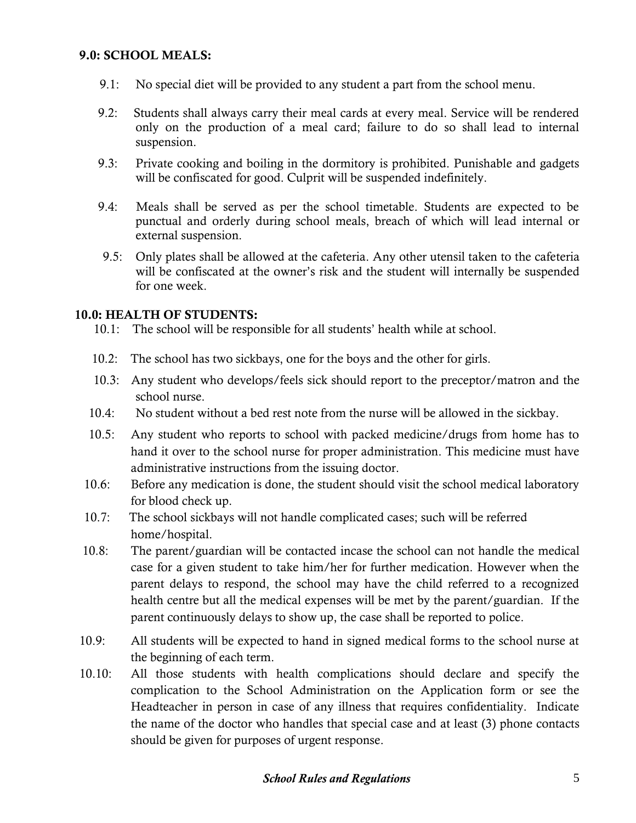## **9.0: SCHOOL MEALS:**

- 9.1: No special diet will be provided to any student a part from the school menu.
- 9.2: Students shall always carry their meal cards at every meal. Service will be rendered only on the production of a meal card; failure to do so shall lead to internal suspension.
- 9.3: Private cooking and boiling in the dormitory is prohibited. Punishable and gadgets will be confiscated for good. Culprit will be suspended indefinitely.
- 9.4: Meals shall be served as per the school timetable. Students are expected to be punctual and orderly during school meals, breach of which will lead internal or external suspension.
- 9.5: Only plates shall be allowed at the cafeteria. Any other utensil taken to the cafeteria will be confiscated at the owner's risk and the student will internally be suspended for one week.

#### **10.0: HEALTH OF STUDENTS:**

10.1: The school will be responsible for all students' health while at school.

- 10.2: The school has two sickbays, one for the boys and the other for girls.
- 10.3: Any student who develops/feels sick should report to the preceptor/matron and the school nurse.
- 10.4: No student without a bed rest note from the nurse will be allowed in the sickbay.
- 10.5: Any student who reports to school with packed medicine/drugs from home has to hand it over to the school nurse for proper administration. This medicine must have administrative instructions from the issuing doctor.
- 10.6: Before any medication is done, the student should visit the school medical laboratory for blood check up.
- 10.7: The school sickbays will not handle complicated cases; such will be referred home/hospital.
- 10.8: The parent/guardian will be contacted incase the school can not handle the medical case for a given student to take him/her for further medication. However when the parent delays to respond, the school may have the child referred to a recognized health centre but all the medical expenses will be met by the parent/guardian. If the parent continuously delays to show up, the case shall be reported to police.
- 10.9: All students will be expected to hand in signed medical forms to the school nurse at the beginning of each term.
- 10.10: All those students with health complications should declare and specify the complication to the School Administration on the Application form or see the Headteacher in person in case of any illness that requires confidentiality. Indicate the name of the doctor who handles that special case and at least (3) phone contacts should be given for purposes of urgent response.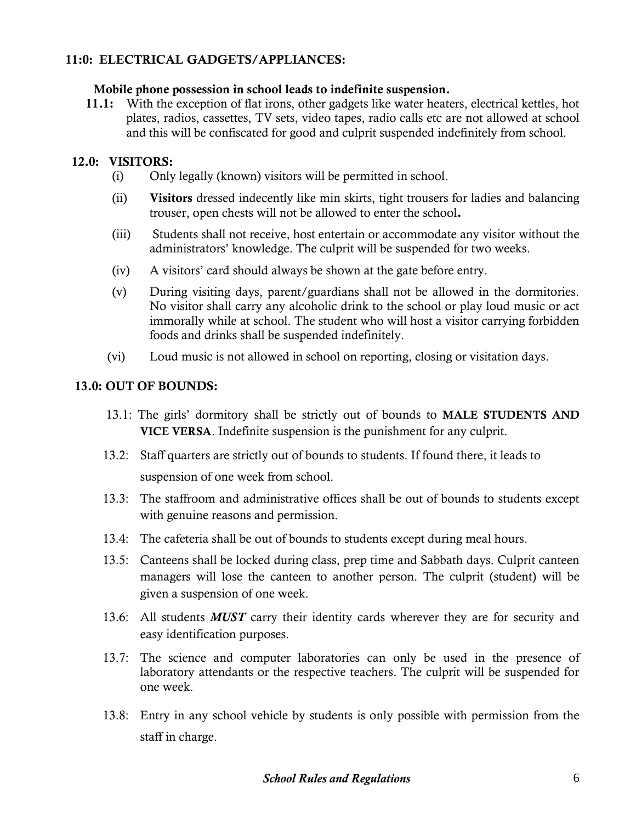# **11:0: ELECTRICAL GADGETS/APPLIANCES:**

#### **Mobile phone possession in school leads to indefinite suspension.**

 **11.1:** With the exception of flat irons, other gadgets like water heaters, electrical kettles, hot plates, radios, cassettes, TV sets, video tapes, radio calls etc are not allowed at school and this will be confiscated for good and culprit suspended indefinitely from school.

#### **12.0: VISITORS:**

- (i) Only legally (known) visitors will be permitted in school.
- (ii) **Visitors** dressed indecently like min skirts, tight trousers for ladies and balancing trouser, open chests will not be allowed to enter the school**.**
- (iii) Students shall not receive, host entertain or accommodate any visitor without the administrators' knowledge. The culprit will be suspended for two weeks.
- (iv) A visitors' card should always be shown at the gate before entry.
- (v) During visiting days, parent/guardians shall not be allowed in the dormitories. No visitor shall carry any alcoholic drink to the school or play loud music or act immorally while at school. The student who will host a visitor carrying forbidden foods and drinks shall be suspended indefinitely.
- (vi) Loud music is not allowed in school on reporting, closing or visitation days.

## **13.0: OUT OF BOUNDS:**

- 13.1: The girls' dormitory shall be strictly out of bounds to **MALE STUDENTS AND VICE VERSA**. Indefinite suspension is the punishment for any culprit.
- 13.2: Staff quarters are strictly out of bounds to students. If found there, it leads to suspension of one week from school.
- 13.3: The staffroom and administrative offices shall be out of bounds to students except with genuine reasons and permission.
- 13.4: The cafeteria shall be out of bounds to students except during meal hours.
- 13.5: Canteens shall be locked during class, prep time and Sabbath days. Culprit canteen managers will lose the canteen to another person. The culprit (student) will be given a suspension of one week.
- 13.6: All students *MUST* carry their identity cards wherever they are for security and easy identification purposes.
- 13.7: The science and computer laboratories can only be used in the presence of laboratory attendants or the respective teachers. The culprit will be suspended for one week.
- 13.8: Entry in any school vehicle by students is only possible with permission from the staff in charge.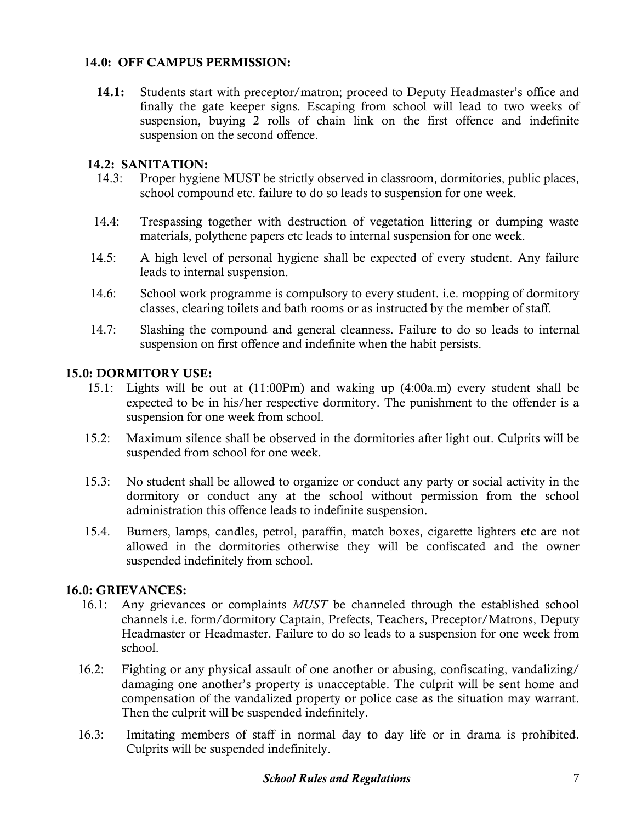# **14.0: OFF CAMPUS PERMISSION:**

 **14.1:** Students start with preceptor/matron; proceed to Deputy Headmaster's office and finally the gate keeper signs. Escaping from school will lead to two weeks of suspension, buying 2 rolls of chain link on the first offence and indefinite suspension on the second offence.

## **14.2: SANITATION:**

- 14.3: Proper hygiene MUST be strictly observed in classroom, dormitories, public places, school compound etc. failure to do so leads to suspension for one week.
- 14.4: Trespassing together with destruction of vegetation littering or dumping waste materials, polythene papers etc leads to internal suspension for one week.
- 14.5: A high level of personal hygiene shall be expected of every student. Any failure leads to internal suspension.
- 14.6: School work programme is compulsory to every student. i.e. mopping of dormitory classes, clearing toilets and bath rooms or as instructed by the member of staff.
- 14.7: Slashing the compound and general cleanness. Failure to do so leads to internal suspension on first offence and indefinite when the habit persists.

## **15.0: DORMITORY USE:**

- 15.1: Lights will be out at (11:00Pm) and waking up (4:00a.m) every student shall be expected to be in his/her respective dormitory. The punishment to the offender is a suspension for one week from school.
- 15.2: Maximum silence shall be observed in the dormitories after light out. Culprits will be suspended from school for one week.
- 15.3: No student shall be allowed to organize or conduct any party or social activity in the dormitory or conduct any at the school without permission from the school administration this offence leads to indefinite suspension.
- 15.4. Burners, lamps, candles, petrol, paraffin, match boxes, cigarette lighters etc are not allowed in the dormitories otherwise they will be confiscated and the owner suspended indefinitely from school.

## **16.0: GRIEVANCES:**

- 16.1: Any grievances or complaints *MUST* be channeled through the established school channels i.e. form/dormitory Captain, Prefects, Teachers, Preceptor/Matrons, Deputy Headmaster or Headmaster. Failure to do so leads to a suspension for one week from school.
- 16.2: Fighting or any physical assault of one another or abusing, confiscating, vandalizing/ damaging one another's property is unacceptable. The culprit will be sent home and compensation of the vandalized property or police case as the situation may warrant. Then the culprit will be suspended indefinitely.
- 16.3: Imitating members of staff in normal day to day life or in drama is prohibited. Culprits will be suspended indefinitely.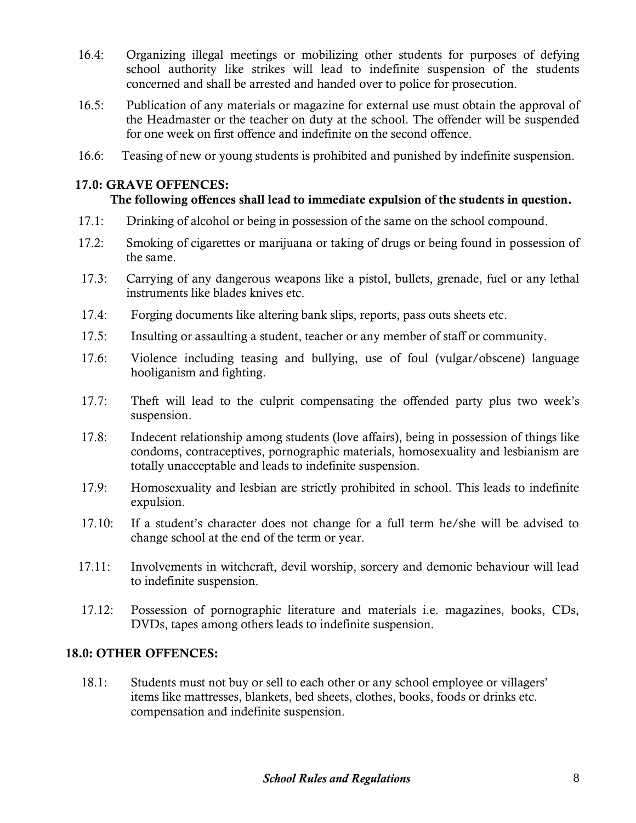- 16.4: Organizing illegal meetings or mobilizing other students for purposes of defying school authority like strikes will lead to indefinite suspension of the students concerned and shall be arrested and handed over to police for prosecution.
- 16.5: Publication of any materials or magazine for external use must obtain the approval of the Headmaster or the teacher on duty at the school. The offender will be suspended for one week on first offence and indefinite on the second offence.
- 16.6: Teasing of new or young students is prohibited and punished by indefinite suspension.

## **17.0: GRAVE OFFENCES:**

# **The following offences shall lead to immediate expulsion of the students in question.**

- 17.1: Drinking of alcohol or being in possession of the same on the school compound.
- 17.2: Smoking of cigarettes or marijuana or taking of drugs or being found in possession of the same.
- 17.3: Carrying of any dangerous weapons like a pistol, bullets, grenade, fuel or any lethal instruments like blades knives etc.
- 17.4: Forging documents like altering bank slips, reports, pass outs sheets etc.
- 17.5: Insulting or assaulting a student, teacher or any member of staff or community.
- 17.6: Violence including teasing and bullying, use of foul (vulgar/obscene) language hooliganism and fighting.
- 17.7: Theft will lead to the culprit compensating the offended party plus two week's suspension.
- 17.8: Indecent relationship among students (love affairs), being in possession of things like condoms, contraceptives, pornographic materials, homosexuality and lesbianism are totally unacceptable and leads to indefinite suspension.
- 17.9: Homosexuality and lesbian are strictly prohibited in school. This leads to indefinite expulsion.
- 17.10: If a student's character does not change for a full term he/she will be advised to change school at the end of the term or year.
- 17.11: Involvements in witchcraft, devil worship, sorcery and demonic behaviour will lead to indefinite suspension.
- 17.12: Possession of pornographic literature and materials i.e. magazines, books, CDs, DVDs, tapes among others leads to indefinite suspension.

## **18.0: OTHER OFFENCES:**

 18.1: Students must not buy or sell to each other or any school employee or villagers' items like mattresses, blankets, bed sheets, clothes, books, foods or drinks etc. compensation and indefinite suspension.